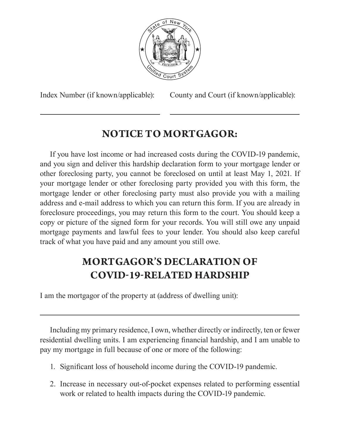

Index Number (if known/applicable): County and Court (if known/applicable):

## **NOTICE TO MORTGAGOR:**

If you have lost income or had increased costs during the COVID-19 pandemic, and you sign and deliver this hardship declaration form to your mortgage lender or other foreclosing party, you cannot be foreclosed on until at least May 1, 2021. If your mortgage lender or other foreclosing party provided you with this form, the mortgage lender or other foreclosing party must also provide you with a mailing address and e-mail address to which you can return this form. If you are already in foreclosure proceedings, you may return this form to the court. You should keep a copy or picture of the signed form for your records. You will still owe any unpaid mortgage payments and lawful fees to your lender. You should also keep careful track of what you have paid and any amount you still owe.

## **MORTGAGOR'S DECLARATION OF COVID-19-RELATED HARDSHIP**

I am the mortgagor of the property at (address of dwelling unit):

Including my primary residence, I own, whether directly or indirectly, ten or fewer residential dwelling units. I am experiencing financial hardship, and I am unable to pay my mortgage in full because of one or more of the following:

- 1. Significant loss of household income during the COVID-19 pandemic.
- 2. Increase in necessary out-of-pocket expenses related to performing essential work or related to health impacts during the COVID-19 pandemic.